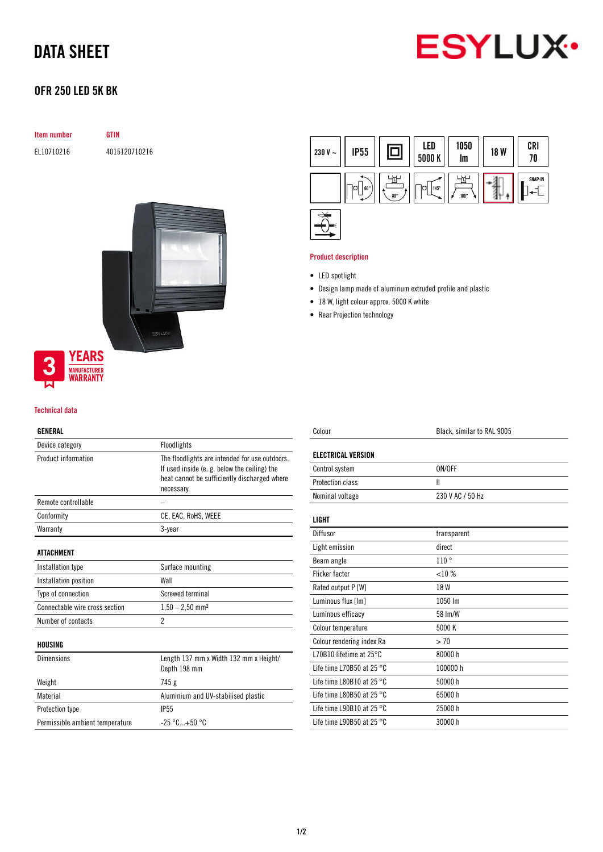# DATA SHEET



# OFR 250 LED 5K BK

|                          | Item number |  |
|--------------------------|-------------|--|
| $-1$ $-1$ $-1$ $-1$ $-1$ |             |  |

**GTIN** EL10710216 4015120710216



#### Technical data

### GENERAL

| Device category                 | Floodlights                                                                                                                                                  |
|---------------------------------|--------------------------------------------------------------------------------------------------------------------------------------------------------------|
| Product information             | The floodlights are intended for use outdoors.<br>If used inside (e. g. below the ceiling) the<br>heat cannot be sufficiently discharged where<br>necessary. |
| Remote controllable             |                                                                                                                                                              |
| Conformity                      | CE, EAC, RoHS, WEEE                                                                                                                                          |
| Warranty                        | 3-year                                                                                                                                                       |
| <b>ATTACHMENT</b>               |                                                                                                                                                              |
| Installation type               | Surface mounting                                                                                                                                             |
| Installation position           | Wall                                                                                                                                                         |
| Type of connection              | Screwed terminal                                                                                                                                             |
| Connectable wire cross section  | $1,50 - 2,50$ mm <sup>2</sup>                                                                                                                                |
| Number of contacts              | $\mathfrak{p}$                                                                                                                                               |
| HOUSING                         |                                                                                                                                                              |
| Dimensions                      | Length 137 mm x Width 132 mm x Height/<br>Depth 198 mm                                                                                                       |
| Weight                          | 745 g                                                                                                                                                        |
| Material                        | Aluminium and UV-stabilised plastic                                                                                                                          |
| <b>Protection type</b>          | <b>IP55</b>                                                                                                                                                  |
| Permissible ambient temperature | $-25 °C + 50 °C$                                                                                                                                             |
|                                 |                                                                                                                                                              |



### Product description

- LED spotlight
- Design lamp made of aluminum extruded profile and plastic
- 18 W, light colour approx. 5000 K white
- Rear Projection technology

| Colour                              | Black, similar to RAL 9005 |
|-------------------------------------|----------------------------|
| <b>ELECTRICAL VERSION</b>           |                            |
| Control system                      | ON/OFF                     |
| Protection class                    | Ш                          |
| Nominal voltage                     | 230 V AC / 50 Hz           |
| LIGHT                               |                            |
| Diffusor                            | transparent                |
| Light emission                      | direct                     |
| Beam angle                          | 110°                       |
| <b>Flicker factor</b>               | $<$ 10 %                   |
| Rated output P [W]                  | 18 W                       |
| Luminous flux [Im]                  | 1050 lm                    |
| Luminous efficacy                   | 58 Im/W                    |
| Colour temperature                  | 5000 K                     |
| Colour rendering index Ra           | > 70                       |
| L70B10 lifetime at $25^{\circ}$ C   | 80000h                     |
| Life time L70B50 at 25 $^{\circ}$ C | 100000 h                   |
| Life time L80B10 at 25 $^{\circ}$ C | 50000 h                    |
| Life time L80B50 at 25 $^{\circ}$ C | 65000h                     |
| Life time L90B10 at 25 $^{\circ}$ C | 25000 h                    |
| Life time L90B50 at 25 $^{\circ}$ C | 30000 h                    |
|                                     |                            |